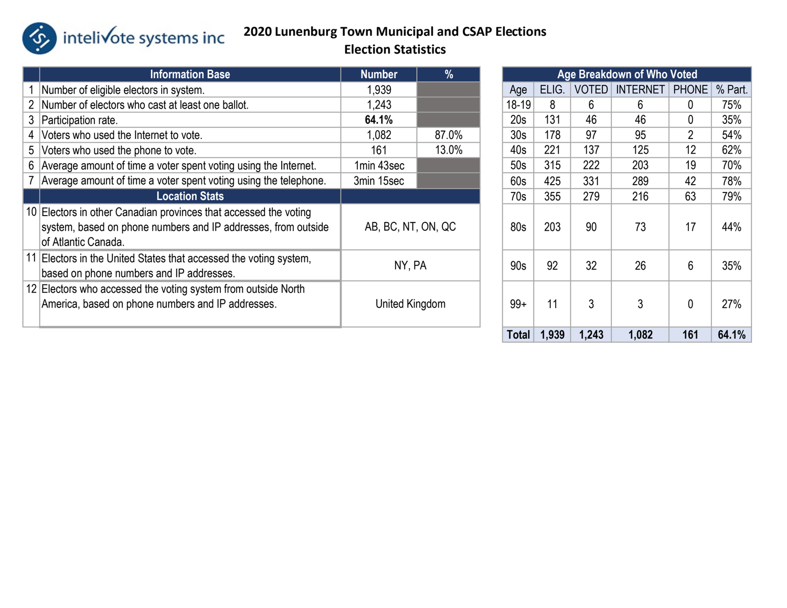

### 2020 Lunenburg Town Municipal and CSAP Elections Election Statistics

|    | <b>Information Base</b>                                                                                                                                  | <b>Number</b>      | $\%$  |  |                 |       |              | Age Breakdown of Who Voted |                |         |
|----|----------------------------------------------------------------------------------------------------------------------------------------------------------|--------------------|-------|--|-----------------|-------|--------------|----------------------------|----------------|---------|
|    | Number of eligible electors in system.                                                                                                                   | 1,939              |       |  | Age             | ELIG. | <b>VOTED</b> | <b>INTERNET</b>            | <b>PHONE</b>   | % Part. |
|    | Number of electors who cast at least one ballot.                                                                                                         | 1,243              |       |  | $18 - 19$       | 8     | 6            | 6                          | $\Omega$       | 75%     |
| 3. | Participation rate.                                                                                                                                      | 64.1%              |       |  | 20s             | 131   | 46           | 46                         | $\Omega$       | 35%     |
|    | Voters who used the Internet to vote.                                                                                                                    | 1,082              | 87.0% |  | 30 <sub>s</sub> | 178   | 97           | 95                         | $\overline{2}$ | 54%     |
| 5  | Voters who used the phone to vote.                                                                                                                       | 13.0%<br>161       |       |  | 40s             | 221   | 137          | 125                        | 12             | 62%     |
|    | 6 Average amount of time a voter spent voting using the Internet.                                                                                        | 1min 43sec         |       |  | 50s             | 315   | 222          | 203                        | 19             | 70%     |
|    | Average amount of time a voter spent voting using the telephone.                                                                                         | 3min 15sec         |       |  | 60s             | 425   | 331          | 289                        | 42             | 78%     |
|    | <b>Location Stats</b>                                                                                                                                    |                    |       |  | 70s             | 355   | 279          | 216                        | 63             | 79%     |
|    | 10 Electors in other Canadian provinces that accessed the voting<br>system, based on phone numbers and IP addresses, from outside<br>of Atlantic Canada. | AB, BC, NT, ON, QC |       |  | 80s             | 203   | 90           | 73                         | 17             | 44%     |
|    | 11 Electors in the United States that accessed the voting system,<br>based on phone numbers and IP addresses.                                            | NY, PA             |       |  | 90s             | 92    | 32           | 26                         | 6              | 35%     |
|    | 12 Electors who accessed the voting system from outside North<br>America, based on phone numbers and IP addresses.                                       | United Kingdom     |       |  | $99+$           | 11    | 3            | 3                          | $\theta$       | 27%     |

| <b>Age Breakdown of Who Voted</b> |            |                                 |       |                |         |  |  |  |  |  |  |
|-----------------------------------|------------|---------------------------------|-------|----------------|---------|--|--|--|--|--|--|
| ELIG.<br>Age                      |            | <b>VOTED</b><br><b>INTERNET</b> |       | <b>PHONE</b>   | % Part. |  |  |  |  |  |  |
| 18-19                             | 8          | 6                               | 6     | 0              | 75%     |  |  |  |  |  |  |
| 20 <sub>s</sub>                   | 131        | 46                              | 46    | 0              | 35%     |  |  |  |  |  |  |
| 30 <sub>s</sub>                   | 178        | 97                              | 95    | $\overline{2}$ | 54%     |  |  |  |  |  |  |
| 40s                               | 221        | 137                             | 125   | 12             | 62%     |  |  |  |  |  |  |
| 50s                               | 315<br>222 |                                 | 203   | 19             | 70%     |  |  |  |  |  |  |
| 60s                               | 425<br>331 |                                 | 289   | 42             | 78%     |  |  |  |  |  |  |
| 70s                               | 355        | 279                             | 216   | 63             | 79%     |  |  |  |  |  |  |
| 80s                               | 203<br>90  |                                 | 73    | 17             | 44%     |  |  |  |  |  |  |
| 90s                               | 92<br>32   |                                 | 26    | 6              | 35%     |  |  |  |  |  |  |
| $99+$                             | 11<br>3    |                                 | 3     | 0              | 27%     |  |  |  |  |  |  |
| <b>Total</b>                      | 1,939      | 1,243                           | 1,082 | 161            | 64.1%   |  |  |  |  |  |  |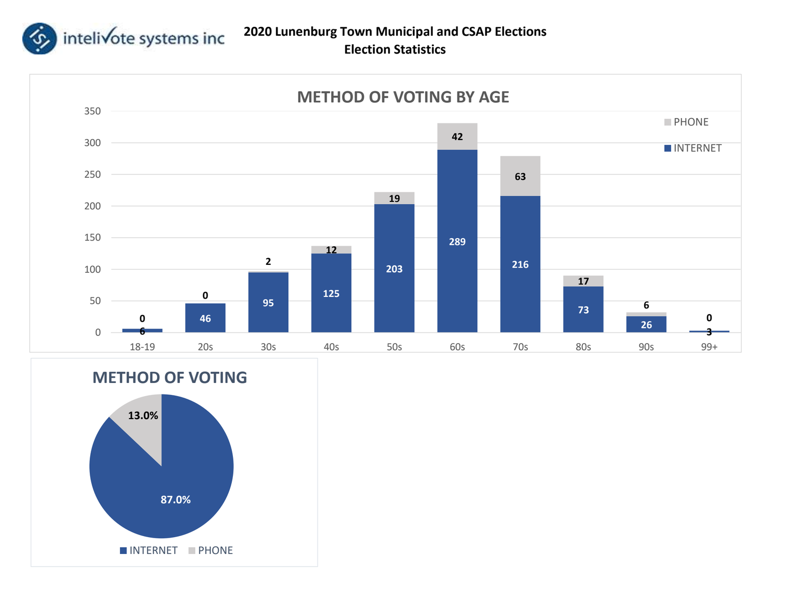



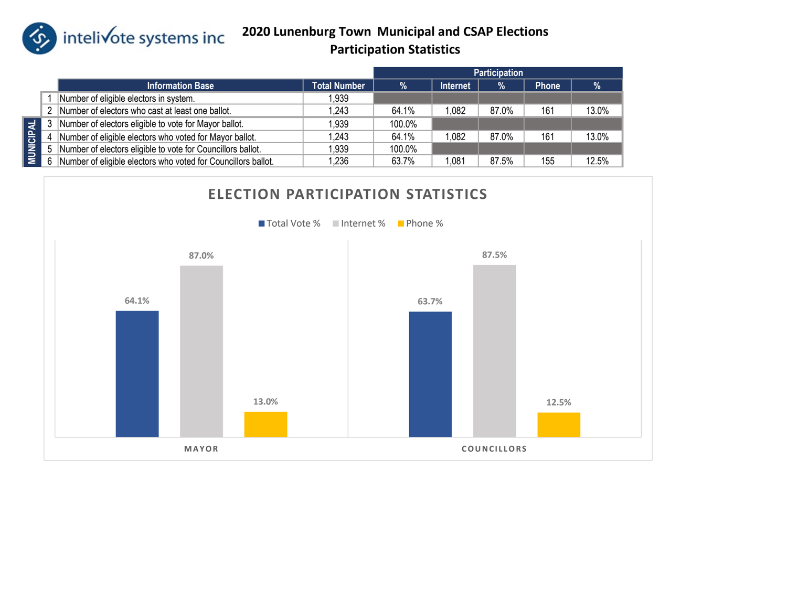

intelivote systems inc 2020 Lunenburg Town Municipal and CSAP Elections Participation Statistics

|                  |   |                                                               |                     |        |                 | <b>Participation</b> |              |       |
|------------------|---|---------------------------------------------------------------|---------------------|--------|-----------------|----------------------|--------------|-------|
|                  |   | <b>Information Base</b>                                       | <b>Total Number</b> | %      | <b>Internet</b> | $\frac{1}{2}$        | <b>Phone</b> | %     |
|                  |   | Number of eligible electors in system.                        | 1,939               |        |                 |                      |              |       |
|                  | 2 | Number of electors who cast at least one ballot.              | 1,243               | 64.1%  | 1,082           | 87.0%                | 161          | 13.0% |
|                  |   | Number of electors eligible to vote for Mayor ballot.         | 1,939               | 100.0% |                 |                      |              |       |
| <b>MUNICIPAL</b> | 4 | Number of eligible electors who voted for Mayor ballot.       | 243. ا              | 64.1%  | 1,082           | 87.0%                | 161          | 13.0% |
|                  |   | Number of electors eligible to vote for Councillors ballot.   | 1,939               | 100.0% |                 |                      |              |       |
|                  |   | Number of eligible electors who voted for Councillors ballot. | 1,236               | 63.7%  | 1.081           | 87.5%                | 155          | 12.5% |
|                  |   |                                                               |                     |        |                 |                      |              |       |
|                  |   | <b>ELECTION PARTICIPATION STATISTICS</b>                      |                     |        |                 |                      |              |       |

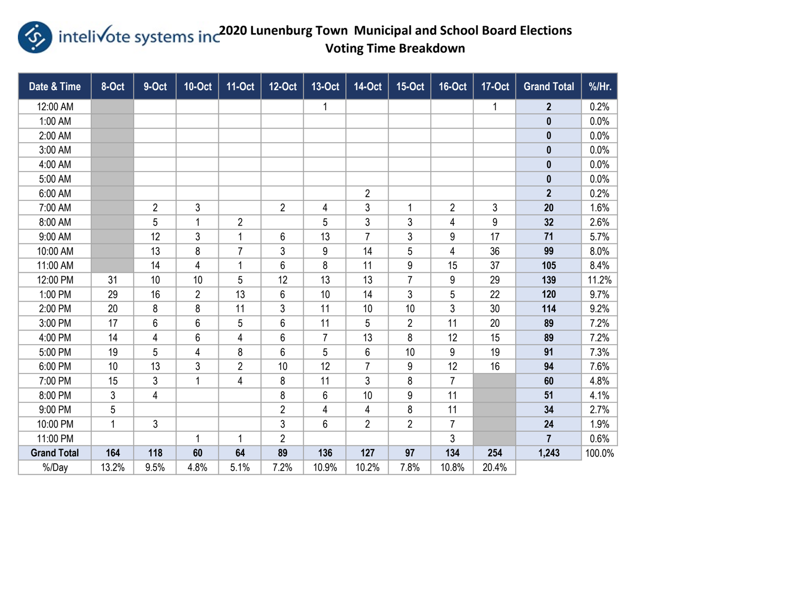

Entelivote systems inc<sup>2020</sup> Lunenburg Town Municipal and School Board Elections Voting Time Breakdown

| Date & Time        | 8-Oct        | 9-Oct          | <b>10-Oct</b>  | <b>11-Oct</b>  | <b>12-Oct</b>  | 13-Oct       | <b>14-Oct</b>  | <b>15-Oct</b>  | <b>16-Oct</b>  | <b>17-Oct</b> | <b>Grand Total</b> | %/Hr.  |
|--------------------|--------------|----------------|----------------|----------------|----------------|--------------|----------------|----------------|----------------|---------------|--------------------|--------|
| 12:00 AM           |              |                |                |                |                | $\mathbf{1}$ |                |                |                | $\mathbf{1}$  | $\overline{2}$     | 0.2%   |
| 1:00 AM            |              |                |                |                |                |              |                |                |                |               | $\mathbf 0$        | 0.0%   |
| 2:00 AM            |              |                |                |                |                |              |                |                |                |               | $\pmb{0}$          | 0.0%   |
| 3:00 AM            |              |                |                |                |                |              |                |                |                |               | $\pmb{0}$          | 0.0%   |
| 4:00 AM            |              |                |                |                |                |              |                |                |                |               | $\pmb{0}$          | 0.0%   |
| 5:00 AM            |              |                |                |                |                |              |                |                |                |               | $\pmb{0}$          | 0.0%   |
| 6:00 AM            |              |                |                |                |                |              | $\sqrt{2}$     |                |                |               | $\overline{2}$     | 0.2%   |
| 7:00 AM            |              | $\overline{2}$ | 3              |                | $\overline{2}$ | 4            | 3              | 1              | $\overline{2}$ | 3             | 20                 | 1.6%   |
| 8:00 AM            |              | 5              | 1              | $\overline{2}$ |                | 5            | 3              | 3              | 4              | 9             | 32                 | 2.6%   |
| 9:00 AM            |              | 12             | $\mathfrak{Z}$ | 1              | 6              | 13           | $\overline{7}$ | 3              | 9              | 17            | 71                 | 5.7%   |
| 10:00 AM           |              | 13             | 8              | $\overline{7}$ | 3              | 9            | 14             | 5              | 4              | 36            | 99                 | 8.0%   |
| 11:00 AM           |              | 14             | 4              | 1              | 6              | 8            | 11             | 9              | 15             | 37            | 105                | 8.4%   |
| 12:00 PM           | 31           | 10             | 10             | 5              | 12             | 13           | 13             | $\overline{7}$ | 9              | 29            | 139                | 11.2%  |
| 1:00 PM            | 29           | 16             | $\overline{2}$ | 13             | 6              | 10           | 14             | 3              | 5              | 22            | 120                | 9.7%   |
| 2:00 PM            | 20           | 8              | 8              | 11             | 3              | 11           | 10             | 10             | 3              | 30            | 114                | 9.2%   |
| 3:00 PM            | 17           | $6\phantom{.}$ | 6              | 5              | 6              | 11           | 5              | $\overline{2}$ | 11             | 20            | 89                 | 7.2%   |
| 4:00 PM            | 14           | 4              | 6              | 4              | 6              | 7            | 13             | 8              | 12             | 15            | 89                 | 7.2%   |
| 5:00 PM            | 19           | 5              | 4              | 8              | 6              | 5            | 6              | 10             | 9              | 19            | 91                 | 7.3%   |
| 6:00 PM            | 10           | 13             | 3              | $\overline{2}$ | 10             | 12           | $\overline{7}$ | 9              | 12             | 16            | 94                 | 7.6%   |
| 7:00 PM            | 15           | 3              | 1              | 4              | 8              | 11           | 3              | 8              | 7              |               | 60                 | 4.8%   |
| 8:00 PM            | 3            | 4              |                |                | 8              | 6            | 10             | 9              | 11             |               | 51                 | 4.1%   |
| 9:00 PM            | 5            |                |                |                | $\overline{2}$ | 4            | 4              | 8              | 11             |               | 34                 | 2.7%   |
| 10:00 PM           | $\mathbf{1}$ | 3              |                |                | 3              | 6            | $\overline{2}$ | $\overline{2}$ | 7              |               | 24                 | 1.9%   |
| 11:00 PM           |              |                | 1              | 1              | $\overline{2}$ |              |                |                | 3              |               | $\overline{7}$     | 0.6%   |
| <b>Grand Total</b> | 164          | 118            | 60             | 64             | 89             | 136          | 127            | 97             | 134            | 254           | 1,243              | 100.0% |
| %/Day              | 13.2%        | 9.5%           | 4.8%           | 5.1%           | 7.2%           | 10.9%        | 10.2%          | 7.8%           | 10.8%          | 20.4%         |                    |        |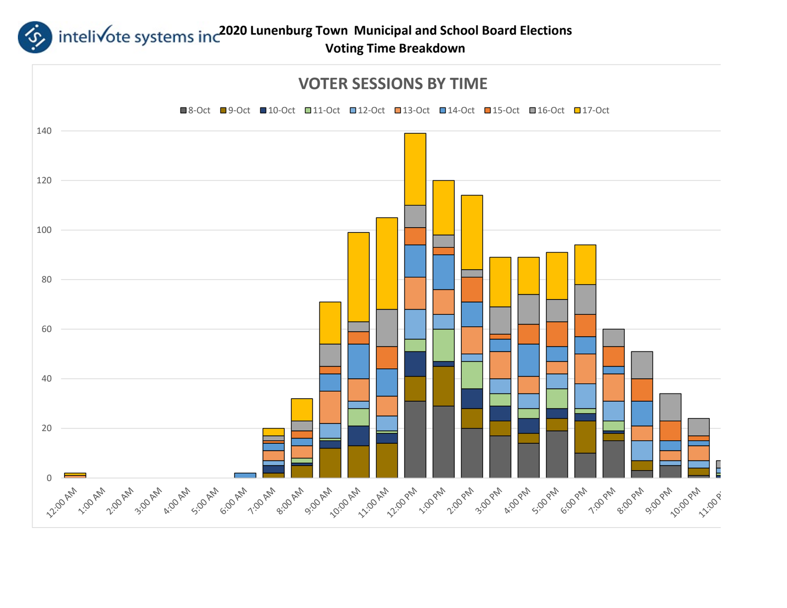

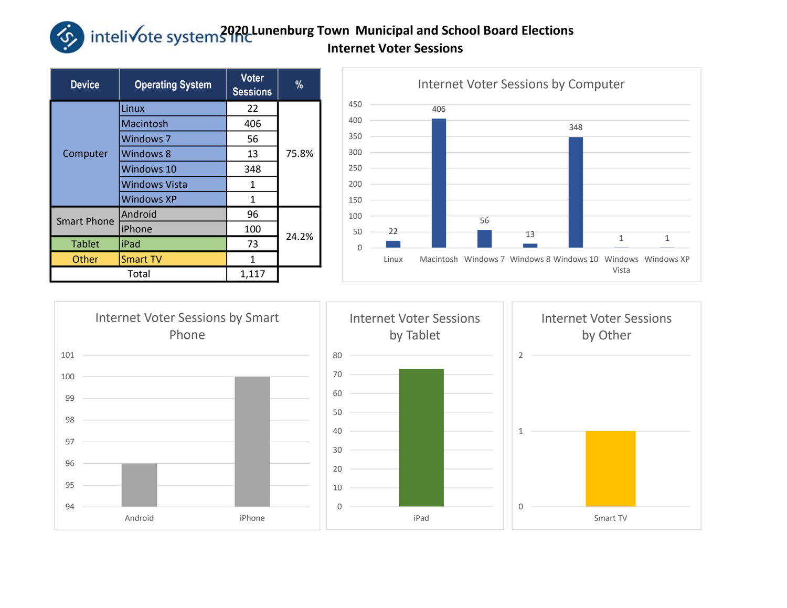## intelivote systems and Lunenburg Town Municipal and School Board Elections Internet Voter Sessions

| <b>Device</b>      | <b>Operating System</b> | <b>Voter</b><br><b>Sessions</b> | %     |  |  |
|--------------------|-------------------------|---------------------------------|-------|--|--|
|                    | Linux                   | 22                              |       |  |  |
|                    | Macintosh               | 406                             | 75.8% |  |  |
|                    | <b>Windows 7</b>        | 56                              |       |  |  |
| Computer           | Windows 8               | 13                              |       |  |  |
|                    | Windows 10              | 348                             |       |  |  |
|                    | <b>Windows Vista</b>    | 1                               |       |  |  |
|                    | <b>Windows XP</b>       | $\mathbf{1}$                    |       |  |  |
| <b>Smart Phone</b> | Android                 | 96                              |       |  |  |
|                    | iPhone                  | 100                             | 24.2% |  |  |
| <b>Tablet</b>      | liPad                   | 73                              |       |  |  |
| Other              | <b>Smart TV</b>         | 1                               |       |  |  |
|                    | Total                   | 1,117                           |       |  |  |



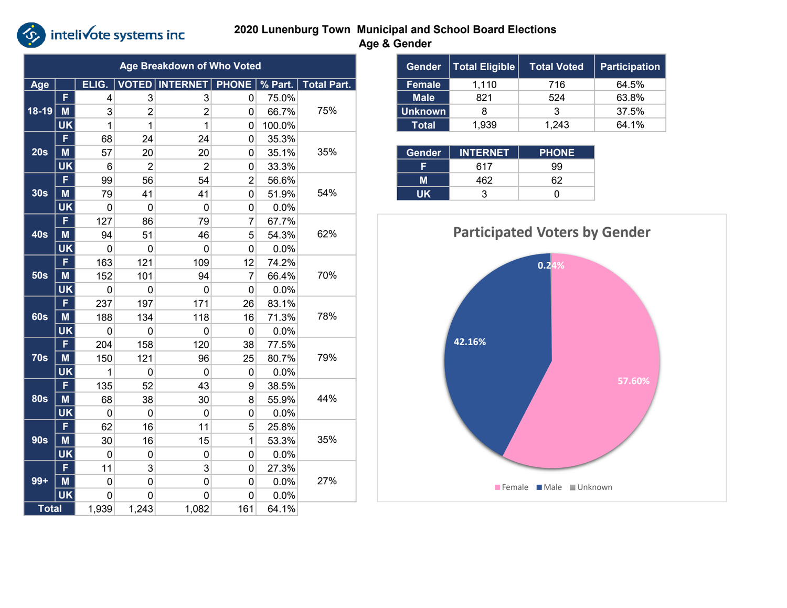# *S* inteli√ote systems inc

### 2020 Lunenburg Town Municipal and School Board Elections Age & Gender

|              |           |       |                | <b>Age Breakdown of Who Voted</b>  |                |        |                    | Gender         | <b>Total Eligible</b> | <b>Total Voted</b>                   | Participati |
|--------------|-----------|-------|----------------|------------------------------------|----------------|--------|--------------------|----------------|-----------------------|--------------------------------------|-------------|
| Age          |           | ELIG. |                | VOTED   INTERNET   PHONE   % Part. |                |        | <b>Total Part.</b> | <b>Female</b>  | 1,110                 | 716                                  | 64.5%       |
|              | F.        | 4     | $\mathbf{3}$   | 3                                  | $\overline{0}$ | 75.0%  |                    | <b>Male</b>    | 821                   | 524                                  | 63.8%       |
| $18 - 19$    | M         | 3     | $\overline{2}$ | $\overline{2}$                     | 0              | 66.7%  | 75%                | <b>Unknown</b> | 8                     | 3                                    | 37.5%       |
|              | <b>UK</b> | 1     | $\mathbf{1}$   | 1                                  | 0              | 100.0% |                    | <b>Total</b>   | 1,939                 | 1,243                                | 64.1%       |
| 20s          | F         | 68    | 24             | 24                                 | 0              | 35.3%  |                    |                |                       |                                      |             |
|              | M         | 57    | 20             | 20                                 | $\mathbf{0}$   | 35.1%  | 35%                | Gender         | <b>INTERNET</b>       | <b>PHONE</b>                         |             |
|              | <b>UK</b> | 6     | $\overline{2}$ | $\overline{2}$                     | 0              | 33.3%  |                    | F.             | 617                   | 99                                   |             |
|              | F         | 99    | 56             | 54                                 | 2              | 56.6%  |                    | M              | 462                   | 62                                   |             |
| 30s          | M         | 79    | 41             | 41                                 | 0              | 51.9%  | 54%                | <b>UK</b>      | 3                     | 0                                    |             |
|              | <b>UK</b> | 0     | $\pmb{0}$      | $\mathbf 0$                        | 0              | 0.0%   |                    |                |                       |                                      |             |
| <b>40s</b>   | F.        | 127   | 86             | 79                                 | $\overline{7}$ | 67.7%  |                    |                |                       |                                      |             |
|              | M         | 94    | 51             | 46                                 | 5              | 54.3%  | 62%                |                |                       | <b>Participated Voters by Gender</b> |             |
|              | <b>UK</b> | 0     | 0              | 0                                  | 0              | 0.0%   |                    |                |                       |                                      |             |
| <b>50s</b>   | F.        | 163   | 121            | 109                                | 12             | 74.2%  |                    |                |                       | 0.24%                                |             |
|              | M         | 152   | 101            | 94                                 | $\overline{7}$ | 66.4%  | 70%                |                |                       |                                      |             |
|              | <b>UK</b> | 0     | $\overline{0}$ | 0                                  | 0              | 0.0%   |                    |                |                       |                                      |             |
|              | F         | 237   | 197            | 171                                | 26             | 83.1%  |                    |                |                       |                                      |             |
| <b>60s</b>   | $M$       | 188   | 134            | 118                                | 16             | 71.3%  | 78%                |                |                       |                                      |             |
|              | <b>UK</b> | 0     | $\mathbf 0$    | $\pmb{0}$                          | 0              | 0.0%   |                    |                |                       |                                      |             |
|              | F.        | 204   | 158            | 120                                | 38             | 77.5%  |                    |                | 42.16%                |                                      |             |
| <b>70s</b>   | M         | 150   | 121            | 96                                 | 25             | 80.7%  | 79%                |                |                       |                                      |             |
|              | <b>UK</b> | 1     | $\mathbf 0$    | $\mathbf{0}$                       | 0              | 0.0%   |                    |                |                       |                                      |             |
|              | F.        | 135   | 52             | 43                                 | 9              | 38.5%  |                    |                |                       |                                      | 57.60%      |
| <b>80s</b>   | M         | 68    | 38             | 30                                 | 8              | 55.9%  | 44%                |                |                       |                                      |             |
|              | <b>UK</b> | 0     | $\pmb{0}$      | 0                                  | 0              | 0.0%   |                    |                |                       |                                      |             |
|              | F.        | 62    | 16             | 11                                 | 5              | 25.8%  |                    |                |                       |                                      |             |
| <b>90s</b>   | M         | 30    | 16             | 15                                 | $\mathbf{1}$   | 53.3%  | 35%                |                |                       |                                      |             |
|              | <b>UK</b> | 0     | $\overline{0}$ | 0                                  | 0              | 0.0%   |                    |                |                       |                                      |             |
|              | F         | 11    | $\overline{3}$ | $\overline{3}$                     | 0              | 27.3%  |                    |                |                       |                                      |             |
| $99+$        | $M$       | 0     | $\overline{0}$ | 0                                  | 0              | 0.0%   | 27%                |                |                       | Female Male Unknown                  |             |
|              | <b>UK</b> | 0     | 0              | 0                                  | 0              | 0.0%   |                    |                |                       |                                      |             |
| <b>Total</b> |           | 1,939 | 1,243          | 1,082                              | 161            | 64.1%  |                    |                |                       |                                      |             |

| Gender         | <b>Total Eligible</b> | <b>Total Voted</b> | <b>Participation</b> |  |
|----------------|-----------------------|--------------------|----------------------|--|
| <b>Female</b>  | 1,110                 | 716                | 64.5%                |  |
| <b>Male</b>    | 821                   | 524                | 63.8%                |  |
| <b>Unknown</b> | 8                     | 3                  | 37.5%                |  |
| Total          | 1,939                 | 1.243              | 64.1%                |  |

| <b>Gender</b> | <b>INTERNET</b> | <b>PHONE</b> |  |  |
|---------------|-----------------|--------------|--|--|
|               | 617             | 99           |  |  |
|               | 462             | 62           |  |  |
| ШK            |                 |              |  |  |